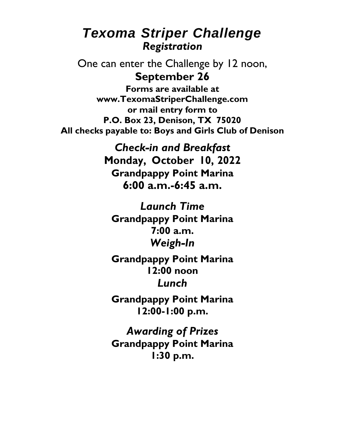## *Texoma Striper Challenge Registration*

One can enter the Challenge by 12 noon, **September 26**

**Forms are available at [www.TexomaStriperChallenge.com](http://www.texomastriperchallenge.com/) or mail entry form to P.O. Box 23, Denison, TX 75020 All checks payable to: Boys and Girls Club of Denison**

> *Check-in and Breakfast* **Monday, October 10, 2022 Grandpappy Point Marina 6:00 a.m.-6:45 a.m.**

*Launch Time* **Grandpappy Point Marina 7:00 a.m.** *Weigh-In*

**Grandpappy Point Marina 12:00 noon** *Lunch*

**Grandpappy Point Marina 12:00-1:00 p.m.**

*Awarding of Prizes* **Grandpappy Point Marina 1:30 p.m.**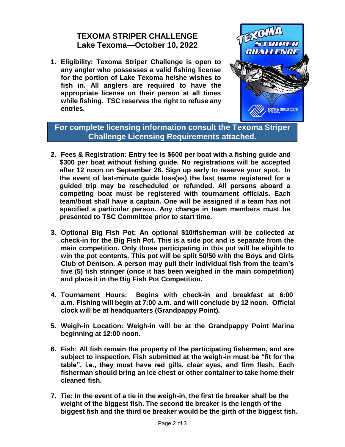## **TEXOMA STRIPER CHALLENGE Lake Texoma—October 10, 2022**

**1. Eligibility: Texoma Striper Challenge is open to any angler who possesses a valid fishing license for the portion of Lake Texoma he/she wishes to fish in. All anglers are required to have the appropriate license on their person at all times while fishing. TSC reserves the right to refuse any entries.**



**For complete licensing information consult the Texoma Striper Challenge Licensing Requirements attached.**

- **2. Fees & Registration: Entry fee is \$600 per boat with a fishing guide and \$300 per boat without fishing guide. No registrations will be accepted after 12 noon on September 26. Sign up early to reserve your spot. In the event of last-minute guide loss(es) the last teams registered for a guided trip may be rescheduled or refunded. All persons aboard a competing boat must be registered with tournament officials. Each team/boat shall have a captain. One will be assigned if a team has not specified a particular person. Any change in team members must be presented to TSC Committee prior to start time.**
- **3. Optional Big Fish Pot: An optional \$10/fisherman will be collected at check-in for the Big Fish Pot. This is a side pot and is separate from the main competition. Only those participating in this pot will be eligible to win the pot contents. This pot will be split 50/50 with the Boys and Girls Club of Denison. A person may pull their individual fish from the team's five (5) fish stringer (once it has been weighed in the main competition) and place it in the Big Fish Pot Competition.**
- **4. Tournament Hours: Begins with check-in and breakfast at 6:00 a.m. Fishing will begin at 7:00 a.m. and will conclude by 12 noon. Official clock will be at headquarters (Grandpappy Point).**
- **5. Weigh-in Location: Weigh-in will be at the Grandpappy Point Marina beginning at 12:00 noon.**
- **6. Fish: All fish remain the property of the participating fishermen, and are subject to inspection. Fish submitted at the weigh-in must be "fit for the table", i.e., they must have red gills, clear eyes, and firm flesh. Each fisherman should bring an ice chest or other container to take home their cleaned fish.**
- **7. Tie: In the event of a tie in the weigh-in, the first tie breaker shall be the weight of the biggest fish. The second tie breaker is the length of the biggest fish and the third tie breaker would be the girth of the biggest fish.**